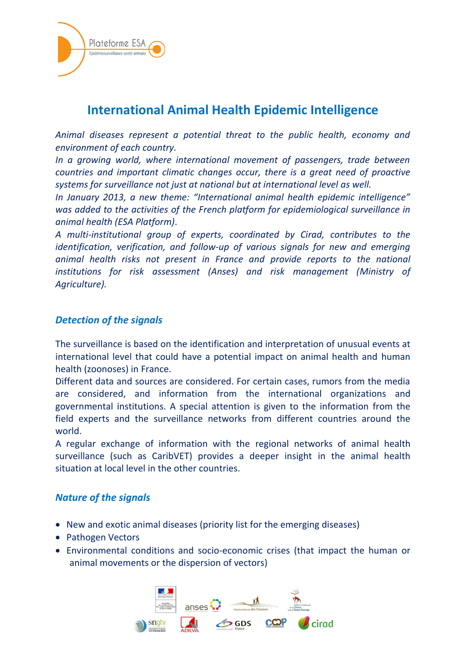

# **International Animal Health Epidemic Intelligence**

*Animal diseases represent a potential threat to the public health, economy and environment of each country.*

*In a growing world, where international movement of passengers, trade between countries and important climatic changes occur, there is a great need of proactive systems for surveillance not just at national but at international level as well.*

*In January 2013, a new theme: "International animal health epidemic intelligence" was added to the activities of the French platform for epidemiological surveillance in animal health (ESA Platform)*.

*A multi-institutional group of experts, coordinated by Cirad, contributes to the identification, verification, and follow-up of various signals for new and emerging animal health risks not present in France and provide reports to the national institutions for risk assessment (Anses) and risk management (Ministry of Agriculture).* 

## *Detection of the signals*

The surveillance is based on the identification and interpretation of unusual events at international level that could have a potential impact on animal health and human health (zoonoses) in France.

Different data and sources are considered. For certain cases, rumors from the media are considered, and information from the international organizations and governmental institutions. A special attention is given to the information from the field experts and the surveillance networks from different countries around the world.

A regular exchange of information with the regional networks of animal health surveillance (such as CaribVET) provides a deeper insight in the animal health situation at local level in the other countries.

#### *Nature of the signals*

- New and exotic animal diseases (priority list for the emerging diseases)
- Pathogen Vectors
- Environmental conditions and socio-economic crises (that impact the human or animal movements or the dispersion of vectors)